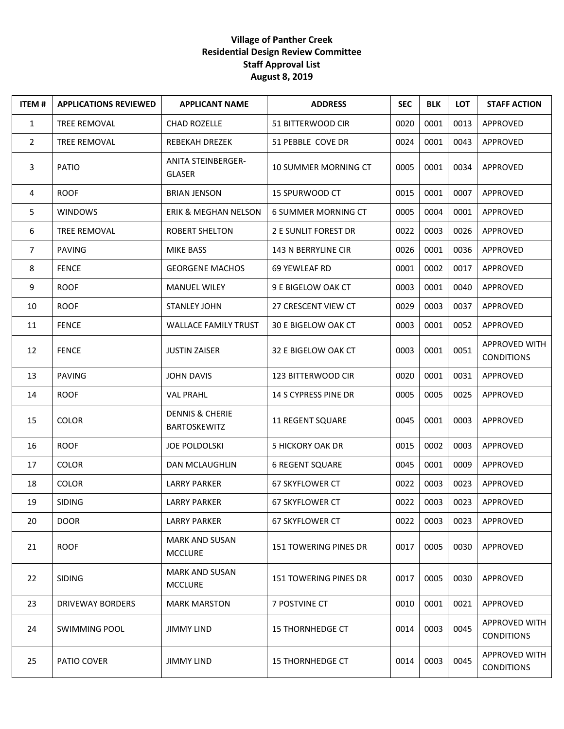## **Village of Panther Creek Residential Design Review Committee Staff Approval List August 8, 2019**

| <b>ITEM#</b>   | <b>APPLICATIONS REVIEWED</b> | <b>APPLICANT NAME</b>                             | <b>ADDRESS</b>               | <b>SEC</b> | <b>BLK</b> | <b>LOT</b> | <b>STAFF ACTION</b>                       |
|----------------|------------------------------|---------------------------------------------------|------------------------------|------------|------------|------------|-------------------------------------------|
| 1              | TREE REMOVAL                 | <b>CHAD ROZELLE</b>                               | 51 BITTERWOOD CIR            | 0020       | 0001       | 0013       | APPROVED                                  |
| $\overline{2}$ | <b>TREE REMOVAL</b>          | REBEKAH DREZEK                                    | 51 PEBBLE COVE DR            | 0024       | 0001       | 0043       | APPROVED                                  |
| 3              | PATIO                        | <b>ANITA STEINBERGER-</b><br><b>GLASER</b>        | 10 SUMMER MORNING CT         | 0005       | 0001       | 0034       | APPROVED                                  |
| 4              | <b>ROOF</b>                  | <b>BRIAN JENSON</b>                               | 15 SPURWOOD CT               | 0015       | 0001       | 0007       | APPROVED                                  |
| 5              | <b>WINDOWS</b>               | <b>ERIK &amp; MEGHAN NELSON</b>                   | <b>6 SUMMER MORNING CT</b>   | 0005       | 0004       | 0001       | APPROVED                                  |
| 6              | <b>TREE REMOVAL</b>          | <b>ROBERT SHELTON</b>                             | <b>2 E SUNLIT FOREST DR</b>  | 0022       | 0003       | 0026       | APPROVED                                  |
| $\overline{7}$ | <b>PAVING</b>                | <b>MIKE BASS</b>                                  | 143 N BERRYLINE CIR          | 0026       | 0001       | 0036       | APPROVED                                  |
| 8              | <b>FENCE</b>                 | <b>GEORGENE MACHOS</b>                            | 69 YEWLEAF RD                | 0001       | 0002       | 0017       | APPROVED                                  |
| 9              | <b>ROOF</b>                  | <b>MANUEL WILEY</b>                               | 9 E BIGELOW OAK CT           | 0003       | 0001       | 0040       | APPROVED                                  |
| 10             | <b>ROOF</b>                  | <b>STANLEY JOHN</b>                               | 27 CRESCENT VIEW CT          | 0029       | 0003       | 0037       | APPROVED                                  |
| 11             | <b>FENCE</b>                 | <b>WALLACE FAMILY TRUST</b>                       | 30 E BIGELOW OAK CT          | 0003       | 0001       | 0052       | APPROVED                                  |
| 12             | <b>FENCE</b>                 | <b>JUSTIN ZAISER</b>                              | 32 E BIGELOW OAK CT          | 0003       | 0001       | 0051       | APPROVED WITH<br><b>CONDITIONS</b>        |
| 13             | <b>PAVING</b>                | <b>JOHN DAVIS</b>                                 | 123 BITTERWOOD CIR           | 0020       | 0001       | 0031       | APPROVED                                  |
| 14             | <b>ROOF</b>                  | <b>VAL PRAHL</b>                                  | 14 S CYPRESS PINE DR         | 0005       | 0005       | 0025       | APPROVED                                  |
| 15             | <b>COLOR</b>                 | <b>DENNIS &amp; CHERIE</b><br><b>BARTOSKEWITZ</b> | <b>11 REGENT SQUARE</b>      | 0045       | 0001       | 0003       | APPROVED                                  |
| 16             | <b>ROOF</b>                  | <b>JOE POLDOLSKI</b>                              | <b>5 HICKORY OAK DR</b>      | 0015       | 0002       | 0003       | APPROVED                                  |
| 17             | <b>COLOR</b>                 | DAN MCLAUGHLIN                                    | <b>6 REGENT SQUARE</b>       | 0045       | 0001       | 0009       | APPROVED                                  |
| 18             | <b>COLOR</b>                 | <b>LARRY PARKER</b>                               | 67 SKYFLOWER CT              | 0022       | 0003       | 0023       | APPROVED                                  |
| 19             | <b>SIDING</b>                | <b>LARRY PARKER</b>                               | 67 SKYFLOWER CT              | 0022       | 0003       | 0023       | APPROVED                                  |
| 20             | <b>DOOR</b>                  | LARRY PARKER                                      | 67 SKYFLOWER CT              | 0022       | 0003       | 0023       | APPROVED                                  |
| 21             | <b>ROOF</b>                  | <b>MARK AND SUSAN</b><br><b>MCCLURE</b>           | <b>151 TOWERING PINES DR</b> | 0017       | 0005       | 0030       | APPROVED                                  |
| 22             | <b>SIDING</b>                | <b>MARK AND SUSAN</b><br><b>MCCLURE</b>           | 151 TOWERING PINES DR        | 0017       | 0005       | 0030       | APPROVED                                  |
| 23             | DRIVEWAY BORDERS             | <b>MARK MARSTON</b>                               | 7 POSTVINE CT                | 0010       | 0001       | 0021       | APPROVED                                  |
| 24             | <b>SWIMMING POOL</b>         | <b>JIMMY LIND</b>                                 | <b>15 THORNHEDGE CT</b>      | 0014       | 0003       | 0045       | <b>APPROVED WITH</b><br><b>CONDITIONS</b> |
| 25             | PATIO COVER                  | JIMMY LIND                                        | <b>15 THORNHEDGE CT</b>      | 0014       | 0003       | 0045       | <b>APPROVED WITH</b><br><b>CONDITIONS</b> |